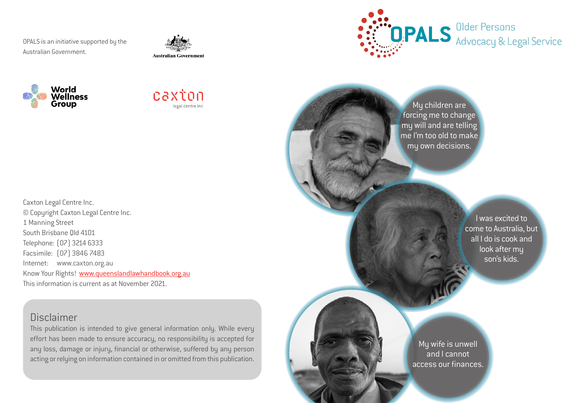OPALS is an initiative supported by the Australian Government.









Caxton Legal Centre Inc. © Copyright Caxton Legal Centre Inc. 1 Manning Street South Brisbane Qld 4101 Telephone: (07) 3214 6333 Facsimile: (07) 3846 7483 Internet: www.caxton.org.au Know Your Rights! www.queenslandlawhandbook.org.au This information is current as at November 2021.



**Disclaimer** 

This publication is intended to give general information only. While every effort has been made to ensure accuracy, no responsibility is accepted for any loss, damage or injury, financial or otherwise, suffered by any person acting or relying on information contained in or omitted from this publication.

My children are forcing me to change my will and are telling me I'm too old to make my own decisions.

> I was excited to come to Australia, but all I do is cook and look after my son's kids.

My wife is unwell and I cannot access our finances.